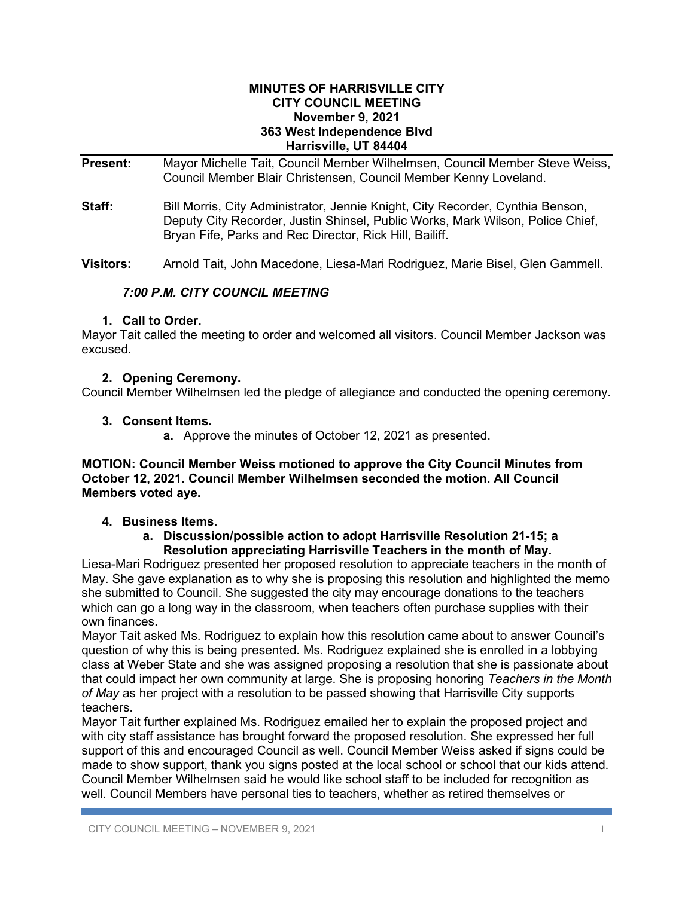#### **MINUTES OF HARRISVILLE CITY CITY COUNCIL MEETING November 9, 2021 363 West Independence Blvd Harrisville, UT 84404**

**Present:** Mayor Michelle Tait, Council Member Wilhelmsen, Council Member Steve Weiss, Council Member Blair Christensen, Council Member Kenny Loveland.

**Staff:** Bill Morris, City Administrator, Jennie Knight, City Recorder, Cynthia Benson, Deputy City Recorder, Justin Shinsel, Public Works, Mark Wilson, Police Chief, Bryan Fife, Parks and Rec Director, Rick Hill, Bailiff.

**Visitors:** Arnold Tait, John Macedone, Liesa-Mari Rodriguez, Marie Bisel, Glen Gammell.

# *7:00 P.M. CITY COUNCIL MEETING*

## **1. Call to Order.**

Mayor Tait called the meeting to order and welcomed all visitors. Council Member Jackson was excused.

## **2. Opening Ceremony.**

Council Member Wilhelmsen led the pledge of allegiance and conducted the opening ceremony.

### **3. Consent Items.**

**a.** Approve the minutes of October 12, 2021 as presented.

### **MOTION: Council Member Weiss motioned to approve the City Council Minutes from October 12, 2021. Council Member Wilhelmsen seconded the motion. All Council Members voted aye.**

## **4. Business Items.**

## **a. Discussion/possible action to adopt Harrisville Resolution 21-15; a Resolution appreciating Harrisville Teachers in the month of May.**

Liesa-Mari Rodriguez presented her proposed resolution to appreciate teachers in the month of May. She gave explanation as to why she is proposing this resolution and highlighted the memo she submitted to Council. She suggested the city may encourage donations to the teachers which can go a long way in the classroom, when teachers often purchase supplies with their own finances.

Mayor Tait asked Ms. Rodriguez to explain how this resolution came about to answer Council's question of why this is being presented. Ms. Rodriguez explained she is enrolled in a lobbying class at Weber State and she was assigned proposing a resolution that she is passionate about that could impact her own community at large. She is proposing honoring *Teachers in the Month of May* as her project with a resolution to be passed showing that Harrisville City supports teachers.

Mayor Tait further explained Ms. Rodriguez emailed her to explain the proposed project and with city staff assistance has brought forward the proposed resolution. She expressed her full support of this and encouraged Council as well. Council Member Weiss asked if signs could be made to show support, thank you signs posted at the local school or school that our kids attend. Council Member Wilhelmsen said he would like school staff to be included for recognition as well. Council Members have personal ties to teachers, whether as retired themselves or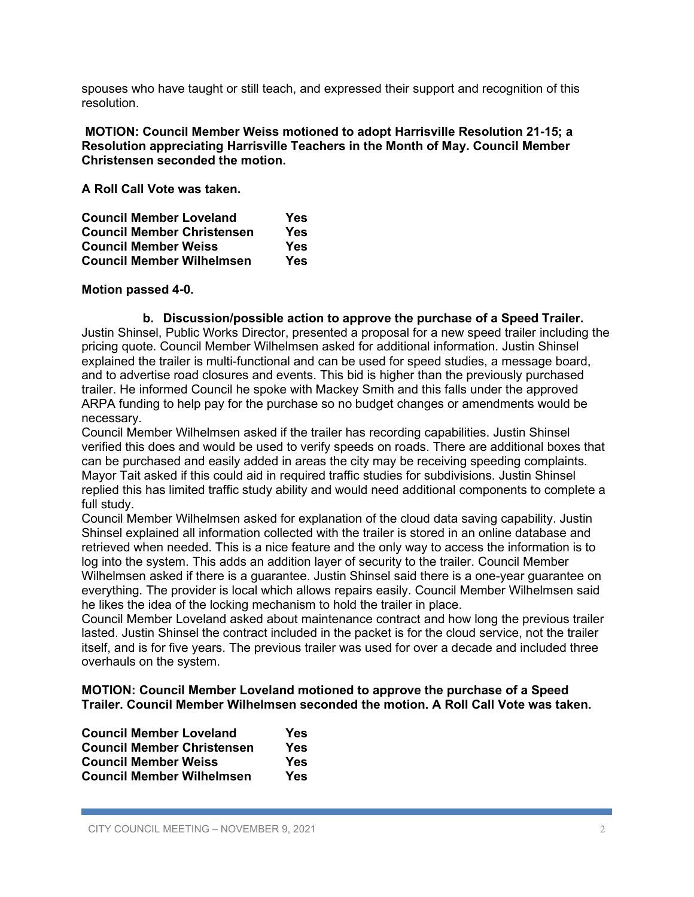spouses who have taught or still teach, and expressed their support and recognition of this resolution.

**MOTION: Council Member Weiss motioned to adopt Harrisville Resolution 21-15; a Resolution appreciating Harrisville Teachers in the Month of May. Council Member Christensen seconded the motion.**

**A Roll Call Vote was taken.** 

| <b>Council Member Loveland</b>    | Yes |
|-----------------------------------|-----|
| <b>Council Member Christensen</b> | Yes |
| <b>Council Member Weiss</b>       | Yes |
| <b>Council Member Wilhelmsen</b>  | Yes |

### **Motion passed 4-0.**

**b. Discussion/possible action to approve the purchase of a Speed Trailer.** Justin Shinsel, Public Works Director, presented a proposal for a new speed trailer including the pricing quote. Council Member Wilhelmsen asked for additional information. Justin Shinsel explained the trailer is multi-functional and can be used for speed studies, a message board, and to advertise road closures and events. This bid is higher than the previously purchased trailer. He informed Council he spoke with Mackey Smith and this falls under the approved ARPA funding to help pay for the purchase so no budget changes or amendments would be necessary.

Council Member Wilhelmsen asked if the trailer has recording capabilities. Justin Shinsel verified this does and would be used to verify speeds on roads. There are additional boxes that can be purchased and easily added in areas the city may be receiving speeding complaints. Mayor Tait asked if this could aid in required traffic studies for subdivisions. Justin Shinsel replied this has limited traffic study ability and would need additional components to complete a full study.

Council Member Wilhelmsen asked for explanation of the cloud data saving capability. Justin Shinsel explained all information collected with the trailer is stored in an online database and retrieved when needed. This is a nice feature and the only way to access the information is to log into the system. This adds an addition layer of security to the trailer. Council Member Wilhelmsen asked if there is a guarantee. Justin Shinsel said there is a one-year guarantee on everything. The provider is local which allows repairs easily. Council Member Wilhelmsen said he likes the idea of the locking mechanism to hold the trailer in place.

Council Member Loveland asked about maintenance contract and how long the previous trailer lasted. Justin Shinsel the contract included in the packet is for the cloud service, not the trailer itself, and is for five years. The previous trailer was used for over a decade and included three overhauls on the system.

#### **MOTION: Council Member Loveland motioned to approve the purchase of a Speed Trailer. Council Member Wilhelmsen seconded the motion. A Roll Call Vote was taken.**

| <b>Council Member Loveland</b>    | Yes |
|-----------------------------------|-----|
| <b>Council Member Christensen</b> | Yes |
| <b>Council Member Weiss</b>       | Yes |
| <b>Council Member Wilhelmsen</b>  | Yes |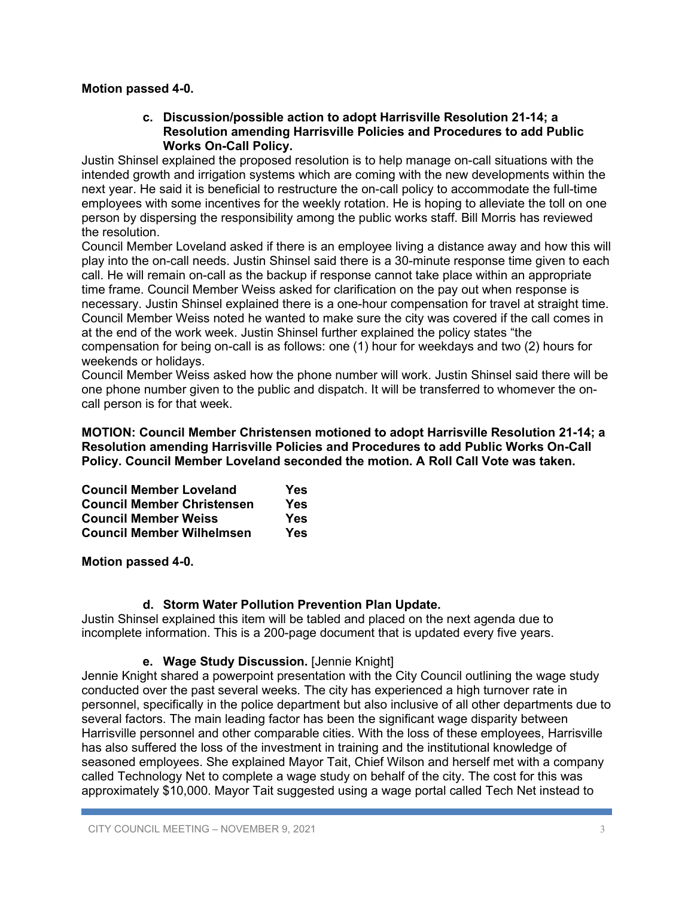## **Motion passed 4-0.**

### **c. Discussion/possible action to adopt Harrisville Resolution 21-14; a Resolution amending Harrisville Policies and Procedures to add Public Works On-Call Policy.**

Justin Shinsel explained the proposed resolution is to help manage on-call situations with the intended growth and irrigation systems which are coming with the new developments within the next year. He said it is beneficial to restructure the on-call policy to accommodate the full-time employees with some incentives for the weekly rotation. He is hoping to alleviate the toll on one person by dispersing the responsibility among the public works staff. Bill Morris has reviewed the resolution.

Council Member Loveland asked if there is an employee living a distance away and how this will play into the on-call needs. Justin Shinsel said there is a 30-minute response time given to each call. He will remain on-call as the backup if response cannot take place within an appropriate time frame. Council Member Weiss asked for clarification on the pay out when response is necessary. Justin Shinsel explained there is a one-hour compensation for travel at straight time. Council Member Weiss noted he wanted to make sure the city was covered if the call comes in at the end of the work week. Justin Shinsel further explained the policy states "the compensation for being on-call is as follows: one (1) hour for weekdays and two (2) hours for weekends or holidays.

Council Member Weiss asked how the phone number will work. Justin Shinsel said there will be one phone number given to the public and dispatch. It will be transferred to whomever the oncall person is for that week.

**MOTION: Council Member Christensen motioned to adopt Harrisville Resolution 21-14; a Resolution amending Harrisville Policies and Procedures to add Public Works On-Call Policy. Council Member Loveland seconded the motion. A Roll Call Vote was taken.** 

| <b>Council Member Loveland</b>    | Yes |
|-----------------------------------|-----|
| <b>Council Member Christensen</b> | Yes |
| <b>Council Member Weiss</b>       | Yes |
| <b>Council Member Wilhelmsen</b>  | Yes |

**Motion passed 4-0.**

# **d. Storm Water Pollution Prevention Plan Update.**

Justin Shinsel explained this item will be tabled and placed on the next agenda due to incomplete information. This is a 200-page document that is updated every five years.

## **e. Wage Study Discussion.** [Jennie Knight]

Jennie Knight shared a powerpoint presentation with the City Council outlining the wage study conducted over the past several weeks. The city has experienced a high turnover rate in personnel, specifically in the police department but also inclusive of all other departments due to several factors. The main leading factor has been the significant wage disparity between Harrisville personnel and other comparable cities. With the loss of these employees, Harrisville has also suffered the loss of the investment in training and the institutional knowledge of seasoned employees. She explained Mayor Tait, Chief Wilson and herself met with a company called Technology Net to complete a wage study on behalf of the city. The cost for this was approximately \$10,000. Mayor Tait suggested using a wage portal called Tech Net instead to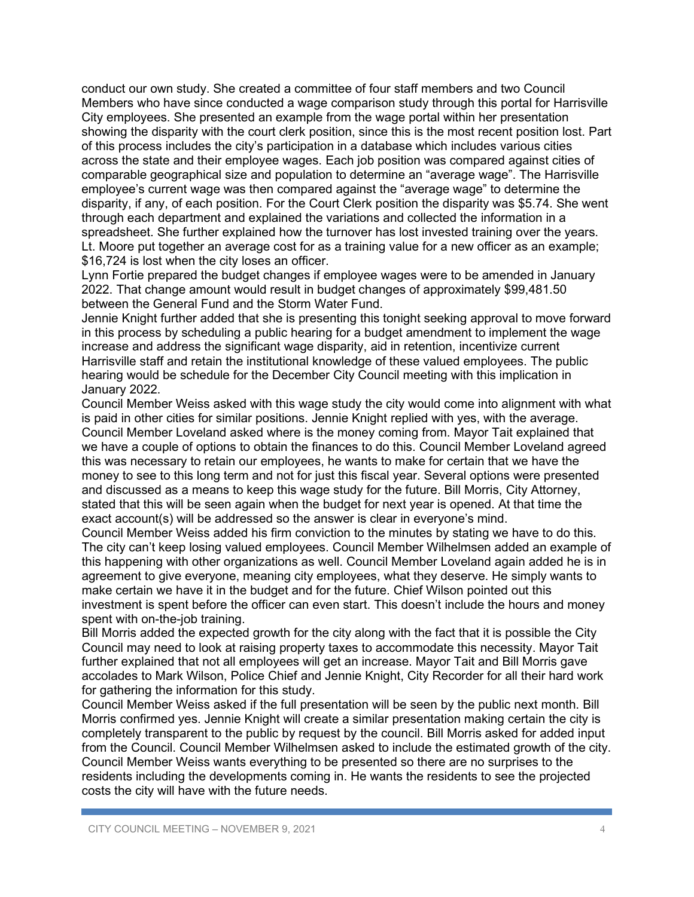conduct our own study. She created a committee of four staff members and two Council Members who have since conducted a wage comparison study through this portal for Harrisville City employees. She presented an example from the wage portal within her presentation showing the disparity with the court clerk position, since this is the most recent position lost. Part of this process includes the city's participation in a database which includes various cities across the state and their employee wages. Each job position was compared against cities of comparable geographical size and population to determine an "average wage". The Harrisville employee's current wage was then compared against the "average wage" to determine the disparity, if any, of each position. For the Court Clerk position the disparity was \$5.74. She went through each department and explained the variations and collected the information in a spreadsheet. She further explained how the turnover has lost invested training over the years. Lt. Moore put together an average cost for as a training value for a new officer as an example; \$16,724 is lost when the city loses an officer.

Lynn Fortie prepared the budget changes if employee wages were to be amended in January 2022. That change amount would result in budget changes of approximately \$99,481.50 between the General Fund and the Storm Water Fund.

Jennie Knight further added that she is presenting this tonight seeking approval to move forward in this process by scheduling a public hearing for a budget amendment to implement the wage increase and address the significant wage disparity, aid in retention, incentivize current Harrisville staff and retain the institutional knowledge of these valued employees. The public hearing would be schedule for the December City Council meeting with this implication in January 2022.

Council Member Weiss asked with this wage study the city would come into alignment with what is paid in other cities for similar positions. Jennie Knight replied with yes, with the average. Council Member Loveland asked where is the money coming from. Mayor Tait explained that we have a couple of options to obtain the finances to do this. Council Member Loveland agreed this was necessary to retain our employees, he wants to make for certain that we have the money to see to this long term and not for just this fiscal year. Several options were presented and discussed as a means to keep this wage study for the future. Bill Morris, City Attorney, stated that this will be seen again when the budget for next year is opened. At that time the exact account(s) will be addressed so the answer is clear in everyone's mind.

Council Member Weiss added his firm conviction to the minutes by stating we have to do this. The city can't keep losing valued employees. Council Member Wilhelmsen added an example of this happening with other organizations as well. Council Member Loveland again added he is in agreement to give everyone, meaning city employees, what they deserve. He simply wants to make certain we have it in the budget and for the future. Chief Wilson pointed out this investment is spent before the officer can even start. This doesn't include the hours and money spent with on-the-job training.

Bill Morris added the expected growth for the city along with the fact that it is possible the City Council may need to look at raising property taxes to accommodate this necessity. Mayor Tait further explained that not all employees will get an increase. Mayor Tait and Bill Morris gave accolades to Mark Wilson, Police Chief and Jennie Knight, City Recorder for all their hard work for gathering the information for this study.

Council Member Weiss asked if the full presentation will be seen by the public next month. Bill Morris confirmed yes. Jennie Knight will create a similar presentation making certain the city is completely transparent to the public by request by the council. Bill Morris asked for added input from the Council. Council Member Wilhelmsen asked to include the estimated growth of the city. Council Member Weiss wants everything to be presented so there are no surprises to the residents including the developments coming in. He wants the residents to see the projected costs the city will have with the future needs.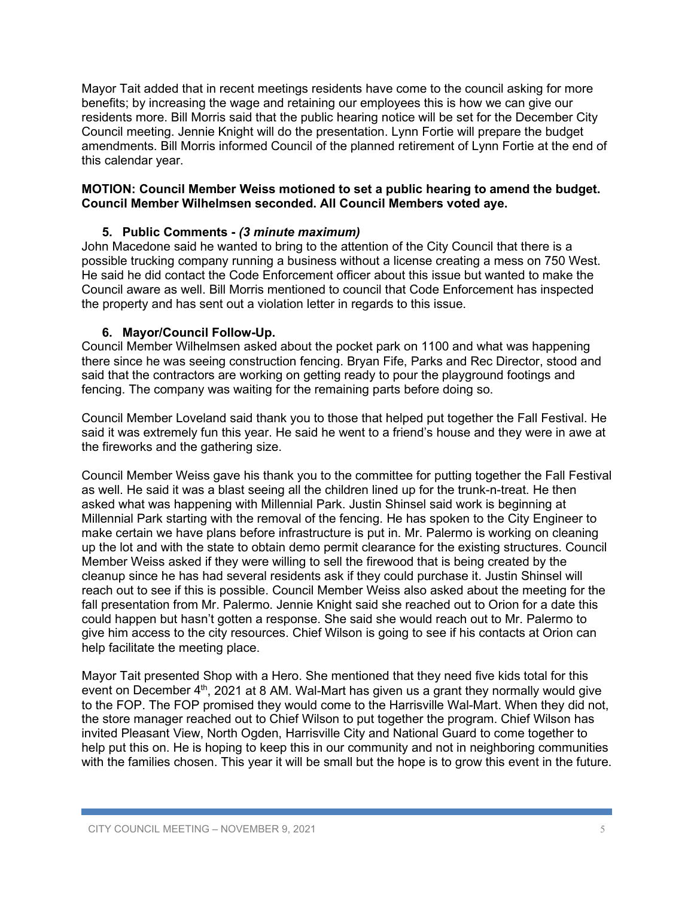Mayor Tait added that in recent meetings residents have come to the council asking for more benefits; by increasing the wage and retaining our employees this is how we can give our residents more. Bill Morris said that the public hearing notice will be set for the December City Council meeting. Jennie Knight will do the presentation. Lynn Fortie will prepare the budget amendments. Bill Morris informed Council of the planned retirement of Lynn Fortie at the end of this calendar year.

## **MOTION: Council Member Weiss motioned to set a public hearing to amend the budget. Council Member Wilhelmsen seconded. All Council Members voted aye.**

# **5. Public Comments -** *(3 minute maximum)*

John Macedone said he wanted to bring to the attention of the City Council that there is a possible trucking company running a business without a license creating a mess on 750 West. He said he did contact the Code Enforcement officer about this issue but wanted to make the Council aware as well. Bill Morris mentioned to council that Code Enforcement has inspected the property and has sent out a violation letter in regards to this issue.

## **6. Mayor/Council Follow-Up.**

Council Member Wilhelmsen asked about the pocket park on 1100 and what was happening there since he was seeing construction fencing. Bryan Fife, Parks and Rec Director, stood and said that the contractors are working on getting ready to pour the playground footings and fencing. The company was waiting for the remaining parts before doing so.

Council Member Loveland said thank you to those that helped put together the Fall Festival. He said it was extremely fun this year. He said he went to a friend's house and they were in awe at the fireworks and the gathering size.

Council Member Weiss gave his thank you to the committee for putting together the Fall Festival as well. He said it was a blast seeing all the children lined up for the trunk-n-treat. He then asked what was happening with Millennial Park. Justin Shinsel said work is beginning at Millennial Park starting with the removal of the fencing. He has spoken to the City Engineer to make certain we have plans before infrastructure is put in. Mr. Palermo is working on cleaning up the lot and with the state to obtain demo permit clearance for the existing structures. Council Member Weiss asked if they were willing to sell the firewood that is being created by the cleanup since he has had several residents ask if they could purchase it. Justin Shinsel will reach out to see if this is possible. Council Member Weiss also asked about the meeting for the fall presentation from Mr. Palermo. Jennie Knight said she reached out to Orion for a date this could happen but hasn't gotten a response. She said she would reach out to Mr. Palermo to give him access to the city resources. Chief Wilson is going to see if his contacts at Orion can help facilitate the meeting place.

Mayor Tait presented Shop with a Hero. She mentioned that they need five kids total for this event on December 4<sup>th</sup>, 2021 at 8 AM. Wal-Mart has given us a grant they normally would give to the FOP. The FOP promised they would come to the Harrisville Wal-Mart. When they did not, the store manager reached out to Chief Wilson to put together the program. Chief Wilson has invited Pleasant View, North Ogden, Harrisville City and National Guard to come together to help put this on. He is hoping to keep this in our community and not in neighboring communities with the families chosen. This year it will be small but the hope is to grow this event in the future.